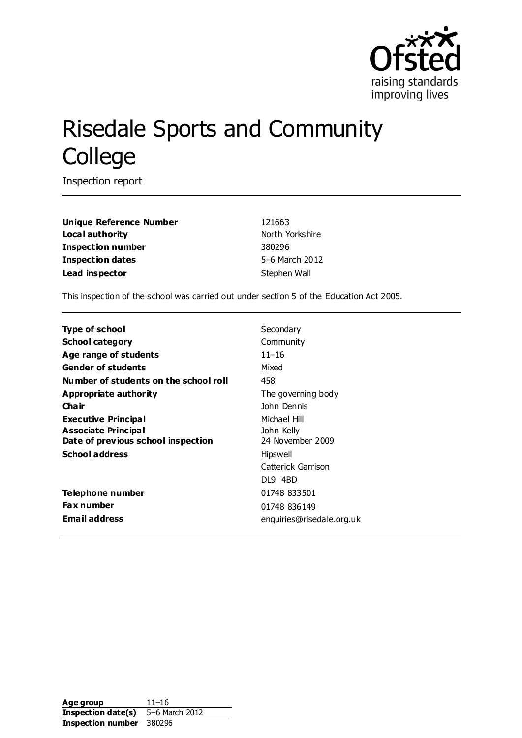

# Risedale Sports and Community **College**

Inspection report

**Unique Reference Number** 121663 **Local authority North Yorkshire** North Yorkshire **Inspection number** 380296 **Inspection dates** 5–6 March 2012 **Lead inspector** Stephen Wall

This inspection of the school was carried out under section 5 of the Education Act 2005.

**Type of school** Secondary **School category** Community **Age range of students** 11–16 **Gender of students** Mixed **Number of students on the school roll** 458 **Appropriate authority** The governing body **Chair** John Dennis **Executive Principal Associate Principal** Michael Hill John Kelly **Date of previous school inspection** 24 November 2009 **School address** Hipswell Catterick Garrison DL9 4BD **Telephone number** 01748 833501 **Fax number** 01748 836149 **Email address** enquiries@risedale.org.uk

**Age group** 11–16 **Inspection date(s)** 5–6 March 2012 **Inspection number** 380296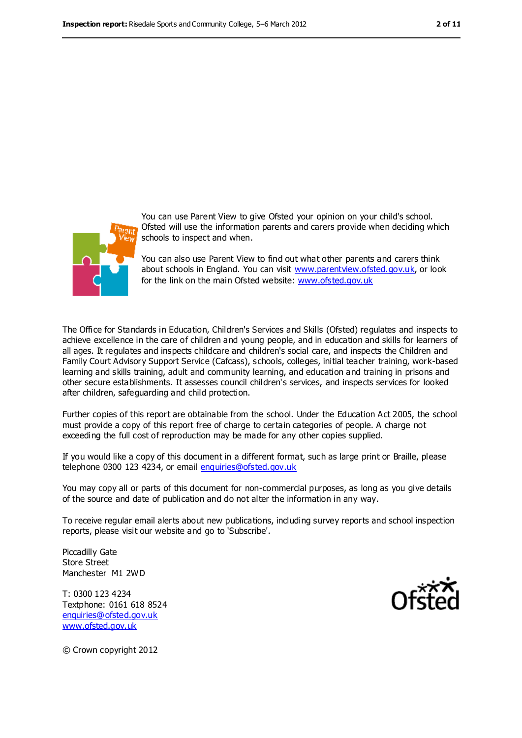

You can use Parent View to give Ofsted your opinion on your child's school. Ofsted will use the information parents and carers provide when deciding which schools to inspect and when.

You can also use Parent View to find out what other parents and carers think about schools in England. You can visit [www.parentview.ofsted.gov.uk,](file:///C:/Users/rcowley/rcowley/AppData/Local/Microsoft/Windows/AppData/Local/Microsoft/Windows/AppData/Local/Microsoft/Windows/Temporary%20Internet%20Files/Low/2012%20January%20on%20inspections/380296%20Risedale%20Sec%20Feb-Mar%202012/www.parentview.ofsted.gov.uk) or look for the link on the main Ofsted website: [www.ofsted.gov.uk](file:///C:/Users/rcowley/rcowley/AppData/Local/Microsoft/Windows/AppData/Local/Microsoft/Windows/AppData/Local/Microsoft/Windows/Temporary%20Internet%20Files/Low/2012%20January%20on%20inspections/380296%20Risedale%20Sec%20Feb-Mar%202012/www.ofsted.gov.uk)

The Office for Standards in Education, Children's Services and Skills (Ofsted) regulates and inspects to achieve excellence in the care of children and young people, and in education and skills for learners of all ages. It regulates and inspects childcare and children's social care, and inspects the Children and Family Court Advisory Support Service (Cafcass), schools, colleges, initial teacher training, work-based learning and skills training, adult and community learning, and education and training in prisons and other secure establishments. It assesses council children's services, and inspects services for looked after children, safeguarding and child protection.

Further copies of this report are obtainable from the school. Under the Education Act 2005, the school must provide a copy of this report free of charge to certain categories of people. A charge not exceeding the full cost of reproduction may be made for any other copies supplied.

If you would like a copy of this document in a different format, such as large print or Braille, please telephone 0300 123 4234, or email [enquiries@ofsted.gov.uk](mailto:enquiries@ofsted.gov.uk)

You may copy all or parts of this document for non-commercial purposes, as long as you give details of the source and date of publication and do not alter the information in any way.

To receive regular email alerts about new publications, including survey reports and school inspection reports, please visit our website and go to 'Subscribe'.

Piccadilly Gate Store Street Manchester M1 2WD

T: 0300 123 4234 Textphone: 0161 618 8524 [enquiries@ofsted.gov.uk](mailto:enquiries@ofsted.gov.uk) [www.ofsted.gov.uk](http://www.ofsted.gov.uk/)



© Crown copyright 2012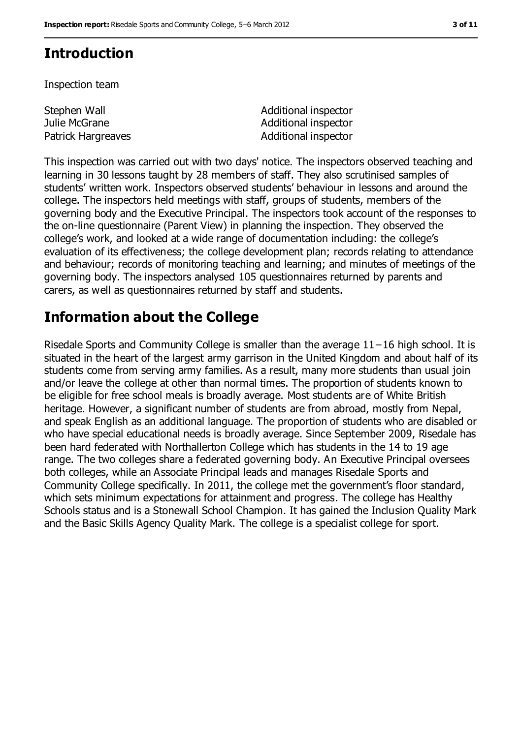## **Introduction**

Inspection team

Stephen Wall Julie McGrane

Additional inspector Additional inspector Patrick Hargreaves **Additional inspector** 

This inspection was carried out with two days' notice. The inspectors observed teaching and learning in 30 lessons taught by 28 members of staff. They also scrutinised samples of students' written work. Inspectors observed students' behaviour in lessons and around the college. The inspectors held meetings with staff, groups of students, members of the governing body and the Executive Principal. The inspectors took account of the responses to the on-line questionnaire (Parent View) in planning the inspection. They observed the college's work, and looked at a wide range of documentation including: the college's evaluation of its effectiveness; the college development plan; records relating to attendance and behaviour; records of monitoring teaching and learning; and minutes of meetings of the governing body. The inspectors analysed 105 questionnaires returned by parents and carers, as well as questionnaires returned by staff and students.

## **Information about the College**

Risedale Sports and Community College is smaller than the average 11−16 high school. It is situated in the heart of the largest army garrison in the United Kingdom and about half of its students come from serving army families. As a result, many more students than usual join and/or leave the college at other than normal times. The proportion of students known to be eligible for free school meals is broadly average. Most students are of White British heritage. However, a significant number of students are from abroad, mostly from Nepal, and speak English as an additional language. The proportion of students who are disabled or who have special educational needs is broadly average. Since September 2009, Risedale has been hard federated with Northallerton College which has students in the 14 to 19 age range. The two colleges share a federated governing body. An Executive Principal oversees both colleges, while an Associate Principal leads and manages Risedale Sports and Community College specifically. In 2011, the college met the government's floor standard, which sets minimum expectations for attainment and progress. The college has Healthy Schools status and is a Stonewall School Champion. It has gained the Inclusion Quality Mark and the Basic Skills Agency Quality Mark. The college is a specialist college for sport.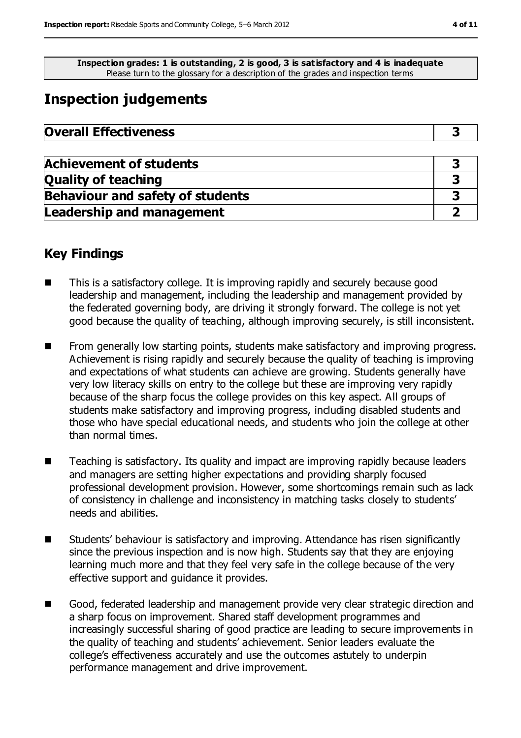**Inspection grades: 1 is outstanding, 2 is good, 3 is satisfactory and 4 is inadequate** Please turn to the glossary for a description of the grades and inspection terms

## **Inspection judgements**

| <b>Overall Effectiveness</b> |  |
|------------------------------|--|
|------------------------------|--|

| <b>Achievement of students</b>          |  |
|-----------------------------------------|--|
| <b>Quality of teaching</b>              |  |
| <b>Behaviour and safety of students</b> |  |
| <b>Leadership and management</b>        |  |

## **Key Findings**

- This is a satisfactory college. It is improving rapidly and securely because good leadership and management, including the leadership and management provided by the federated governing body, are driving it strongly forward. The college is not yet good because the quality of teaching, although improving securely, is still inconsistent.
- From generally low starting points, students make satisfactory and improving progress. Achievement is rising rapidly and securely because the quality of teaching is improving and expectations of what students can achieve are growing. Students generally have very low literacy skills on entry to the college but these are improving very rapidly because of the sharp focus the college provides on this key aspect. All groups of students make satisfactory and improving progress, including disabled students and those who have special educational needs, and students who join the college at other than normal times.
- Teaching is satisfactory. Its quality and impact are improving rapidly because leaders and managers are setting higher expectations and providing sharply focused professional development provision. However, some shortcomings remain such as lack of consistency in challenge and inconsistency in matching tasks closely to students' needs and abilities.
- Students' behaviour is satisfactory and improving. Attendance has risen significantly since the previous inspection and is now high. Students say that they are enjoying learning much more and that they feel very safe in the college because of the very effective support and guidance it provides.
- Good, federated leadership and management provide very clear strategic direction and a sharp focus on improvement. Shared staff development programmes and increasingly successful sharing of good practice are leading to secure improvements in the quality of teaching and students' achievement. Senior leaders evaluate the college's effectiveness accurately and use the outcomes astutely to underpin performance management and drive improvement.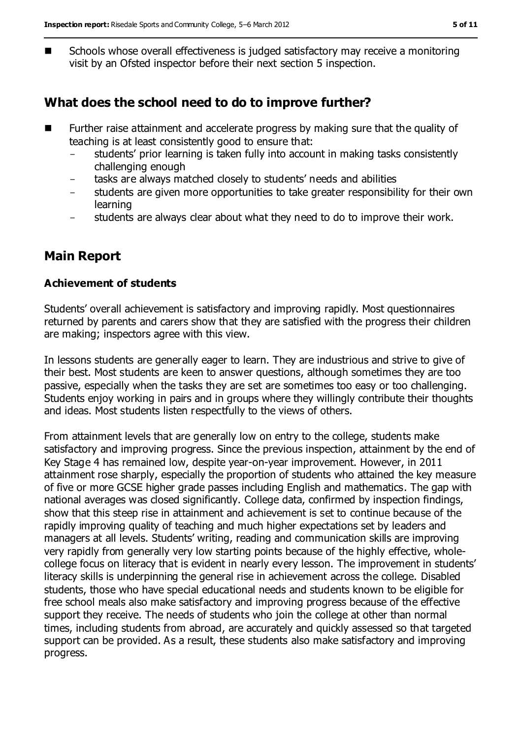■ Schools whose overall effectiveness is judged satisfactory may receive a monitoring visit by an Ofsted inspector before their next section 5 inspection.

## **What does the school need to do to improve further?**

- **Further raise attainment and accelerate progress by making sure that the quality of** teaching is at least consistently good to ensure that:
	- students' prior learning is taken fully into account in making tasks consistently challenging enough
	- tasks are always matched closely to students' needs and abilities
	- students are given more opportunities to take greater responsibility for their own learning
	- students are always clear about what they need to do to improve their work.

## **Main Report**

### **Achievement of students**

Students' overall achievement is satisfactory and improving rapidly. Most questionnaires returned by parents and carers show that they are satisfied with the progress their children are making; inspectors agree with this view.

In lessons students are generally eager to learn. They are industrious and strive to give of their best. Most students are keen to answer questions, although sometimes they are too passive, especially when the tasks they are set are sometimes too easy or too challenging. Students enjoy working in pairs and in groups where they willingly contribute their thoughts and ideas. Most students listen respectfully to the views of others.

From attainment levels that are generally low on entry to the college, students make satisfactory and improving progress. Since the previous inspection, attainment by the end of Key Stage 4 has remained low, despite year-on-year improvement. However, in 2011 attainment rose sharply, especially the proportion of students who attained the key measure of five or more GCSE higher grade passes including English and mathematics. The gap with national averages was closed significantly. College data, confirmed by inspection findings, show that this steep rise in attainment and achievement is set to continue because of the rapidly improving quality of teaching and much higher expectations set by leaders and managers at all levels. Students' writing, reading and communication skills are improving very rapidly from generally very low starting points because of the highly effective, wholecollege focus on literacy that is evident in nearly every lesson. The improvement in students' literacy skills is underpinning the general rise in achievement across the college. Disabled students, those who have special educational needs and students known to be eligible for free school meals also make satisfactory and improving progress because of the effective support they receive. The needs of students who join the college at other than normal times, including students from abroad, are accurately and quickly assessed so that targeted support can be provided. As a result, these students also make satisfactory and improving progress.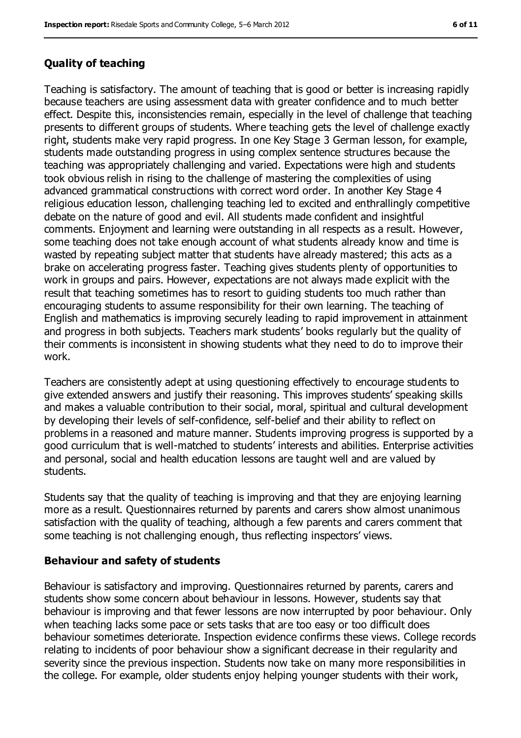### **Quality of teaching**

Teaching is satisfactory. The amount of teaching that is good or better is increasing rapidly because teachers are using assessment data with greater confidence and to much better effect. Despite this, inconsistencies remain, especially in the level of challenge that teaching presents to different groups of students. Where teaching gets the level of challenge exactly right, students make very rapid progress. In one Key Stage 3 German lesson, for example, students made outstanding progress in using complex sentence structures because the teaching was appropriately challenging and varied. Expectations were high and students took obvious relish in rising to the challenge of mastering the complexities of using advanced grammatical constructions with correct word order. In another Key Stage 4 religious education lesson, challenging teaching led to excited and enthrallingly competitive debate on the nature of good and evil. All students made confident and insightful comments. Enjoyment and learning were outstanding in all respects as a result. However, some teaching does not take enough account of what students already know and time is wasted by repeating subject matter that students have already mastered; this acts as a brake on accelerating progress faster. Teaching gives students plenty of opportunities to work in groups and pairs. However, expectations are not always made explicit with the result that teaching sometimes has to resort to guiding students too much rather than encouraging students to assume responsibility for their own learning. The teaching of English and mathematics is improving securely leading to rapid improvement in attainment and progress in both subjects. Teachers mark students' books regularly but the quality of their comments is inconsistent in showing students what they need to do to improve their work.

Teachers are consistently adept at using questioning effectively to encourage students to give extended answers and justify their reasoning. This improves students' speaking skills and makes a valuable contribution to their social, moral, spiritual and cultural development by developing their levels of self-confidence, self-belief and their ability to reflect on problems in a reasoned and mature manner. Students improving progress is supported by a good curriculum that is well-matched to students' interests and abilities. Enterprise activities and personal, social and health education lessons are taught well and are valued by students.

Students say that the quality of teaching is improving and that they are enjoying learning more as a result. Questionnaires returned by parents and carers show almost unanimous satisfaction with the quality of teaching, although a few parents and carers comment that some teaching is not challenging enough, thus reflecting inspectors' views.

#### **Behaviour and safety of students**

Behaviour is satisfactory and improving. Questionnaires returned by parents, carers and students show some concern about behaviour in lessons. However, students say that behaviour is improving and that fewer lessons are now interrupted by poor behaviour. Only when teaching lacks some pace or sets tasks that are too easy or too difficult does behaviour sometimes deteriorate. Inspection evidence confirms these views. College records relating to incidents of poor behaviour show a significant decrease in their regularity and severity since the previous inspection. Students now take on many more responsibilities in the college. For example, older students enjoy helping younger students with their work,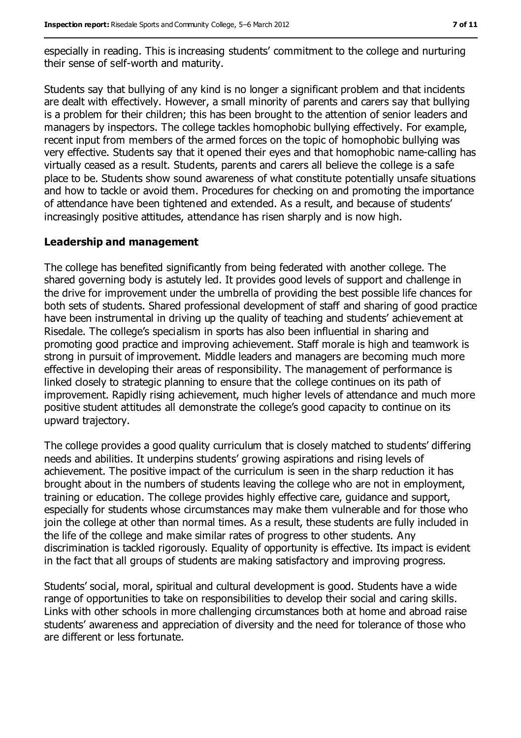especially in reading. This is increasing students' commitment to the college and nurturing their sense of self-worth and maturity.

Students say that bullying of any kind is no longer a significant problem and that incidents are dealt with effectively. However, a small minority of parents and carers say that bullying is a problem for their children; this has been brought to the attention of senior leaders and managers by inspectors. The college tackles homophobic bullying effectively. For example, recent input from members of the armed forces on the topic of homophobic bullying was very effective. Students say that it opened their eyes and that homophobic name-calling has virtually ceased as a result. Students, parents and carers all believe the college is a safe place to be. Students show sound awareness of what constitute potentially unsafe situations and how to tackle or avoid them. Procedures for checking on and promoting the importance of attendance have been tightened and extended. As a result, and because of students' increasingly positive attitudes, attendance has risen sharply and is now high.

### **Leadership and management**

The college has benefited significantly from being federated with another college. The shared governing body is astutely led. It provides good levels of support and challenge in the drive for improvement under the umbrella of providing the best possible life chances for both sets of students. Shared professional development of staff and sharing of good practice have been instrumental in driving up the quality of teaching and students' achievement at Risedale. The college's specialism in sports has also been influential in sharing and promoting good practice and improving achievement. Staff morale is high and teamwork is strong in pursuit of improvement. Middle leaders and managers are becoming much more effective in developing their areas of responsibility. The management of performance is linked closely to strategic planning to ensure that the college continues on its path of improvement. Rapidly rising achievement, much higher levels of attendance and much more positive student attitudes all demonstrate the college's good capacity to continue on its upward trajectory.

The college provides a good quality curriculum that is closely matched to students' differing needs and abilities. It underpins students' growing aspirations and rising levels of achievement. The positive impact of the curriculum is seen in the sharp reduction it has brought about in the numbers of students leaving the college who are not in employment, training or education. The college provides highly effective care, guidance and support, especially for students whose circumstances may make them vulnerable and for those who join the college at other than normal times. As a result, these students are fully included in the life of the college and make similar rates of progress to other students. Any discrimination is tackled rigorously. Equality of opportunity is effective. Its impact is evident in the fact that all groups of students are making satisfactory and improving progress.

Students' social, moral, spiritual and cultural development is good. Students have a wide range of opportunities to take on responsibilities to develop their social and caring skills. Links with other schools in more challenging circumstances both at home and abroad raise students' awareness and appreciation of diversity and the need for tolerance of those who are different or less fortunate.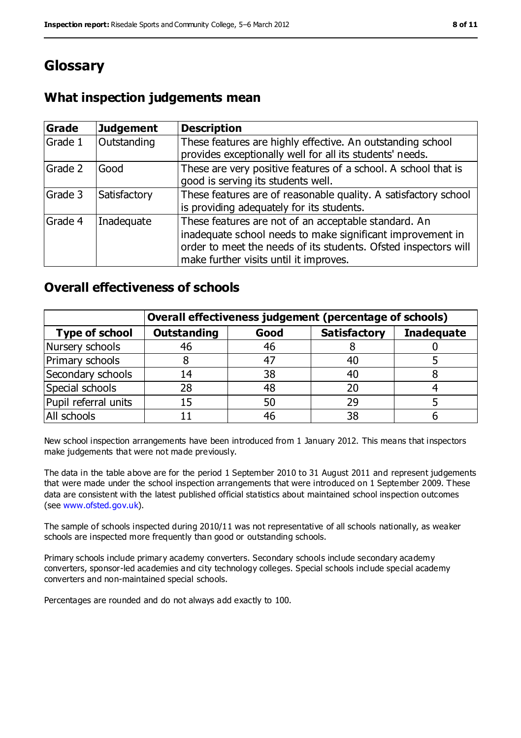## **Glossary**

## **What inspection judgements mean**

| <b>Grade</b> | <b>Judgement</b> | <b>Description</b>                                                                                                                                                                                                              |
|--------------|------------------|---------------------------------------------------------------------------------------------------------------------------------------------------------------------------------------------------------------------------------|
| Grade 1      | Outstanding      | These features are highly effective. An outstanding school<br>provides exceptionally well for all its students' needs.                                                                                                          |
| Grade 2      | Good             | These are very positive features of a school. A school that is<br>good is serving its students well.                                                                                                                            |
| Grade 3      | Satisfactory     | These features are of reasonable quality. A satisfactory school<br>is providing adequately for its students.                                                                                                                    |
| Grade 4      | Inadequate       | These features are not of an acceptable standard. An<br>inadequate school needs to make significant improvement in<br>order to meet the needs of its students. Ofsted inspectors will<br>make further visits until it improves. |

### **Overall effectiveness of schools**

|                       | Overall effectiveness judgement (percentage of schools) |      |                     |                   |
|-----------------------|---------------------------------------------------------|------|---------------------|-------------------|
| <b>Type of school</b> | <b>Outstanding</b>                                      | Good | <b>Satisfactory</b> | <b>Inadequate</b> |
| Nursery schools       | 46                                                      | 46   |                     |                   |
| Primary schools       |                                                         | 47   | 40                  |                   |
| Secondary schools     | 14                                                      | 38   | 40                  |                   |
| Special schools       | 28                                                      | 48   | 20                  |                   |
| Pupil referral units  | 15                                                      | 50   | 29                  |                   |
| All schools           |                                                         | 46   | 38                  |                   |

New school inspection arrangements have been introduced from 1 January 2012. This means that inspectors make judgements that were not made previously.

The data in the table above are for the period 1 September 2010 to 31 August 2011 and represent judgements that were made under the school inspection arrangements that were introduced on 1 September 2009. These data are consistent with the latest published official statistics about maintained school inspection outcomes (see www.ofsted.gov.uk).

The sample of schools inspected during 2010/11 was not representative of all schools nationally, as weaker schools are inspected more frequently than good or outstanding schools.

Primary schools include primary academy converters. Secondary schools include secondary academy converters, sponsor-led academies and city technology colleges. Special schools include special academy converters and non-maintained special schools.

Percentages are rounded and do not always add exactly to 100.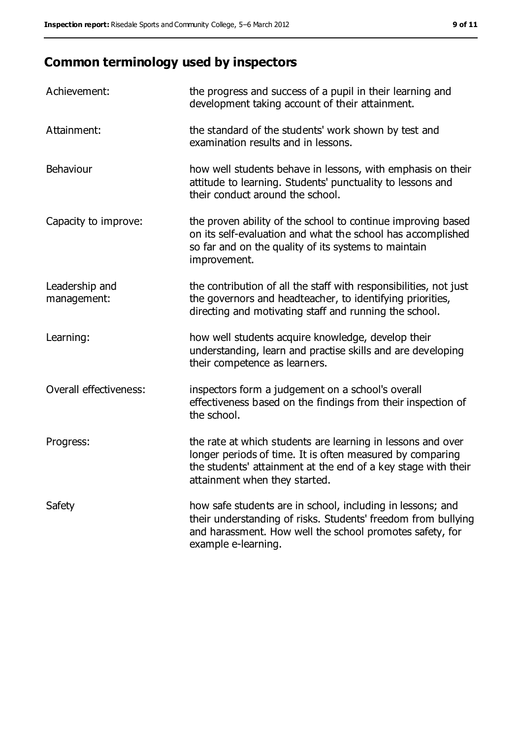## **Common terminology used by inspectors**

| Achievement:                  | the progress and success of a pupil in their learning and<br>development taking account of their attainment.                                                                                                               |
|-------------------------------|----------------------------------------------------------------------------------------------------------------------------------------------------------------------------------------------------------------------------|
| Attainment:                   | the standard of the students' work shown by test and<br>examination results and in lessons.                                                                                                                                |
| Behaviour                     | how well students behave in lessons, with emphasis on their<br>attitude to learning. Students' punctuality to lessons and<br>their conduct around the school.                                                              |
| Capacity to improve:          | the proven ability of the school to continue improving based<br>on its self-evaluation and what the school has accomplished<br>so far and on the quality of its systems to maintain<br>improvement.                        |
| Leadership and<br>management: | the contribution of all the staff with responsibilities, not just<br>the governors and headteacher, to identifying priorities,<br>directing and motivating staff and running the school.                                   |
| Learning:                     | how well students acquire knowledge, develop their<br>understanding, learn and practise skills and are developing<br>their competence as learners.                                                                         |
| Overall effectiveness:        | inspectors form a judgement on a school's overall<br>effectiveness based on the findings from their inspection of<br>the school.                                                                                           |
| Progress:                     | the rate at which students are learning in lessons and over<br>longer periods of time. It is often measured by comparing<br>the students' attainment at the end of a key stage with their<br>attainment when they started. |
| Safety                        | how safe students are in school, including in lessons; and<br>their understanding of risks. Students' freedom from bullying<br>and harassment. How well the school promotes safety, for<br>example e-learning.             |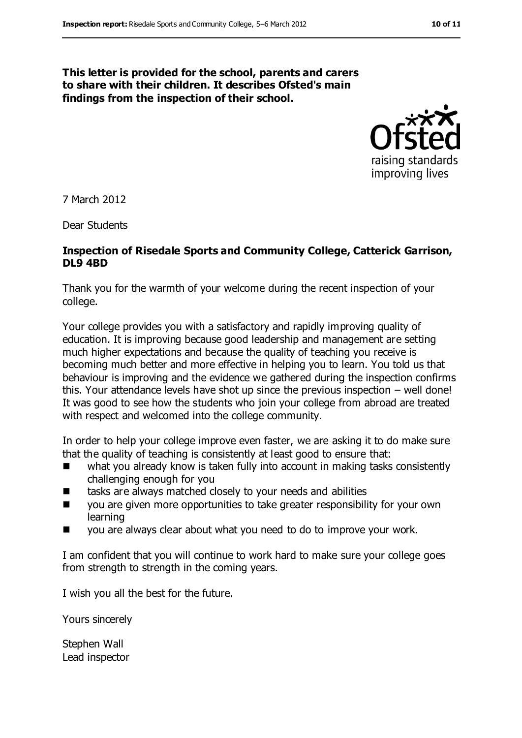#### **This letter is provided for the school, parents and carers to share with their children. It describes Ofsted's main findings from the inspection of their school.**



7 March 2012

Dear Students

#### **Inspection of Risedale Sports and Community College, Catterick Garrison, DL9 4BD**

Thank you for the warmth of your welcome during the recent inspection of your college.

Your college provides you with a satisfactory and rapidly improving quality of education. It is improving because good leadership and management are setting much higher expectations and because the quality of teaching you receive is becoming much better and more effective in helping you to learn. You told us that behaviour is improving and the evidence we gathered during the inspection confirms this. Your attendance levels have shot up since the previous inspection – well done! It was good to see how the students who join your college from abroad are treated with respect and welcomed into the college community.

In order to help your college improve even faster, we are asking it to do make sure that the quality of teaching is consistently at least good to ensure that:

- what you already know is taken fully into account in making tasks consistently challenging enough for you
- tasks are always matched closely to your needs and abilities
- **U** you are given more opportunities to take greater responsibility for your own learning
- you are always clear about what you need to do to improve your work.

I am confident that you will continue to work hard to make sure your college goes from strength to strength in the coming years.

I wish you all the best for the future.

Yours sincerely

Stephen Wall Lead inspector